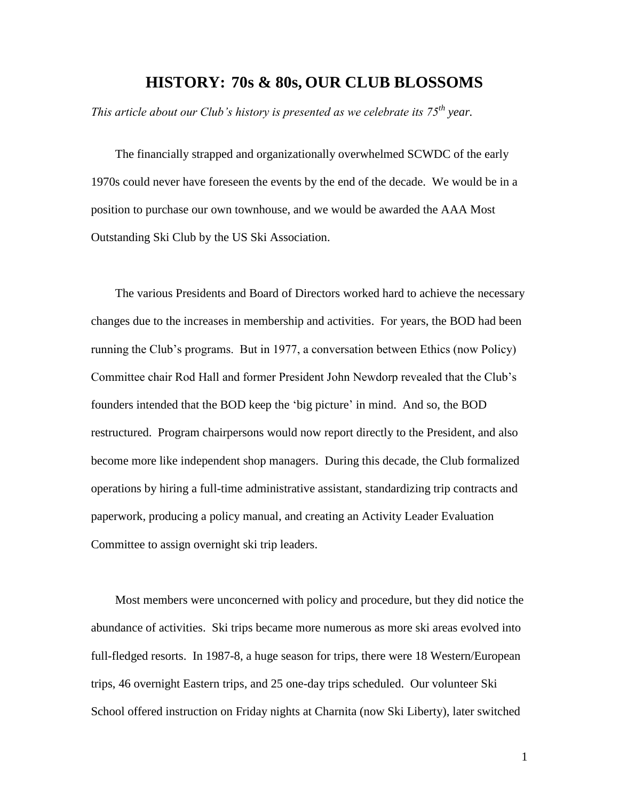## **HISTORY: 70s & 80s, OUR CLUB BLOSSOMS**

*This article about our Club's history is presented as we celebrate its 75th year.*

The financially strapped and organizationally overwhelmed SCWDC of the early 1970s could never have foreseen the events by the end of the decade. We would be in a position to purchase our own townhouse, and we would be awarded the AAA Most Outstanding Ski Club by the US Ski Association.

The various Presidents and Board of Directors worked hard to achieve the necessary changes due to the increases in membership and activities. For years, the BOD had been running the Club's programs. But in 1977, a conversation between Ethics (now Policy) Committee chair Rod Hall and former President John Newdorp revealed that the Club's founders intended that the BOD keep the 'big picture' in mind. And so, the BOD restructured. Program chairpersons would now report directly to the President, and also become more like independent shop managers. During this decade, the Club formalized operations by hiring a full-time administrative assistant, standardizing trip contracts and paperwork, producing a policy manual, and creating an Activity Leader Evaluation Committee to assign overnight ski trip leaders.

Most members were unconcerned with policy and procedure, but they did notice the abundance of activities. Ski trips became more numerous as more ski areas evolved into full-fledged resorts. In 1987-8, a huge season for trips, there were 18 Western/European trips, 46 overnight Eastern trips, and 25 one-day trips scheduled. Our volunteer Ski School offered instruction on Friday nights at Charnita (now Ski Liberty), later switched